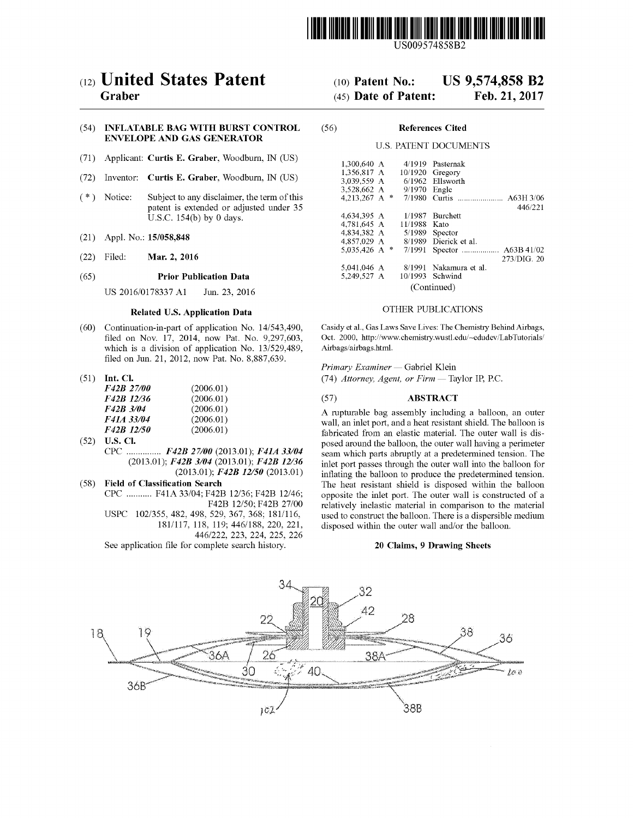

US009574858B2

# (12) United States Patent

## Graber

#### (54) NFLATABLE BAG WITH BURST CONTROL ENVELOPE AND GAS GENERATOR

- (71) Applicant: Curtis E. Graber, Woodburn, IN (US)
- (72) Inventor: Curtis E. Graber, Woodburn, IN (US)
- (\*) Notice: Subject to any disclaimer, the term of this patent is extended or adjusted under 35 U.S.C. 154(b) by 0 days.
- (21) Appl. No.: 15/058,848
- (22) Filed: Mar. 2, 2016

#### (65) Prior Publication Data

US 2016/O178337 A1 Jun. 23, 2016

### Related U.S. Application Data

- (60) Continuation-in-part of application No. 14/543,490, filed on Nov. 17, 2014, now Pat. No. 9,297,603, which is a division of application No. 13/529,489, filed on Jun. 21, 2012, now Pat. No. 8,887,639.
- $(51)$  Int. Cl.

| <b>F42B 27/00</b> | (2006.01) |
|-------------------|-----------|
| F42B 12/36        | (2006.01) |
| <i>F42B 3/04</i>  | (2006.01) |
| F41A 33/04        | (2006.01) |
| <i>F42B 12/50</i> | (2006.01) |

- $(52)$  **U.S. Cl.** CPC ............... F42B 27/00 (2013.01); F41A33/04 (2013.01); F42B 3/04 (2013.01); F42B 12/36 (2013.01); F42B 12/50 (2013.01)
- (58) Field of Classification Search CPC ........... F41A33/04: F42B 12/36; F42B 12/46; F42B 12/50; F42B 27/00 USPC 102/355, 482, 498, 529, 367, 368; 181/116, 181/117, 118, 119; 446/188, 220, 221, 446/222, 223, 224, 225, 226

See application file for complete search history.

#### US 9,574,858 B2 (10) Patent No.:

#### Feb. 21, 2017 (45) Date of Patent:

#### (56) References Cited

#### U.S. PATENT DOCUMENTS

| 1.300.640 A<br>1,356,817 A<br>3.039.559 A<br>3,528,662 A |  |  | 4/1919<br>10/1920<br>9/1970 | Pasternak<br>Gregory<br>6/1962 Ellsworth<br>Engle |  |
|----------------------------------------------------------|--|--|-----------------------------|---------------------------------------------------|--|
| 4,213,267 A $*$                                          |  |  | 7/1980                      |                                                   |  |
|                                                          |  |  |                             | 446/221                                           |  |
| 4,634,395 A                                              |  |  | 1/1987                      | <b>Burchett</b>                                   |  |
| 4,781,645 A                                              |  |  | 11/1988                     | Kato                                              |  |
| 4.834.382 A                                              |  |  | 5/1989                      | Spector                                           |  |
| 4,857,029 A                                              |  |  | 8/1989                      | Dierick et al.                                    |  |
| 5.035.426 A $*$                                          |  |  | 7/1991                      |                                                   |  |
|                                                          |  |  |                             | 273/DIG. 20                                       |  |
| 5.041.046 A                                              |  |  | 8/1991                      | Nakamura et al.                                   |  |
| 5.249.527 A                                              |  |  | 10/1993                     | Schwind                                           |  |
| (Continued)                                              |  |  |                             |                                                   |  |

#### OTHER PUBLICATIONS

Casidy et al., Gas Laws Save Lives: The Chemistry Behind Airbags, Oct. 2000, http://www.chemistry.wustl.edu/~edudev/LabTutorials/ Airbags/airbags.html.

Primary Examiner — Gabriel Klein

(74) Attorney, Agent, or Firm —Taylor IP. P.C.

### (57) ABSTRACT

A rupturable bag assembly including a balloon, an outer wall, an inlet port, and a heat resistant shield. The balloon is fabricated from an elastic material. The outer wall is dis posed around the balloon, the outer wall having a perimeter seam which parts abruptly at a predetermined tension. The inlet port passes through the outer wall into the balloon for inflating the balloon to produce the predetermined tension. The heat resistant shield is disposed within the balloon opposite the inlet port. The outer wall is constructed of a relatively inelastic material in comparison to the material used to construct the balloon. There is a dispersible medium disposed within the outer wall and/or the balloon.

#### 20 Claims, 9 Drawing Sheets

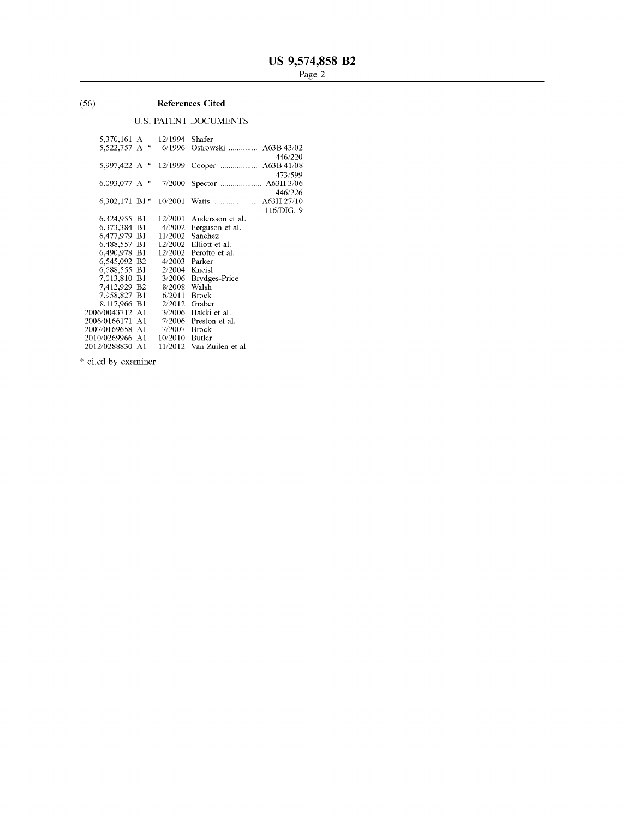## (56) References Cited

## U.S. PATENT DOCUMENTS

| 5,370,161 A             |     | 12/1994 | Shafer                  |
|-------------------------|-----|---------|-------------------------|
| 5,522,757 A             | 涞   | 6/1996  | Ostrowski<br>A63B 43/02 |
|                         |     |         | 446/220                 |
| 5,997,422 A             | *   | 12/1999 | A63B 41/08              |
|                         |     |         | 473/599                 |
| 6,093,077 A             | 中   | 7/2000  | A63H 3/06<br>Spector    |
|                         |     |         | 446/226                 |
| $6,302,171 \text{ B}1*$ |     | 10/2001 | A63H 27/10<br>Watts     |
|                         |     |         | 116/DIG. 9              |
| 6,324,955 B1            |     | 12/2001 | Andersson et al.        |
| 6,373,384 B1            |     | 4/2002  |                         |
|                         |     |         | Ferguson et al.         |
| 6,477,979 B1            |     | 11/2002 | <b>Sanchez</b>          |
| 6,488,557 B1            |     | 12/2002 | Elliott et al.          |
| 6,490,978 B1            |     | 12/2002 | Perotto et al.          |
| 6,545,092 B2            |     | 4/2003  | Parker                  |
| 6,688,555 B1            |     | 2/2004  | Kneisl                  |
| 7.013.810 B1            |     | 3/2006  | Brydges-Price           |
| 7,412,929 B2            |     | 8/2008  | Walsh                   |
| 7.958.827 B1            |     | 6/2011  | <b>Brock</b>            |
| 8,117,966 B1            |     | 2/2012  | Graber                  |
| 2006/0043712 A1         |     | 3/2006  | Hakki et al.            |
| 2006/0166171            | A1  | 7/2006  | Preston et al.          |
| 2007/0169658            | -A1 | 7/2007  | <b>Brock</b>            |
| 2010/0269966            | A1  | 10/2010 | Butler                  |
| 2012/0288830 A1         |     | 11/2012 | Van Zuilen et al.       |
|                         |     |         |                         |

\* cited by examiner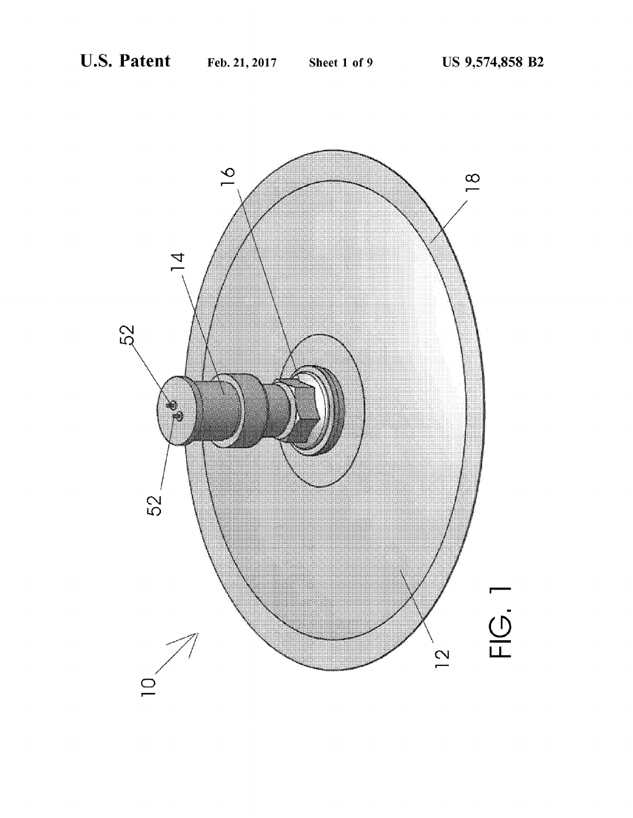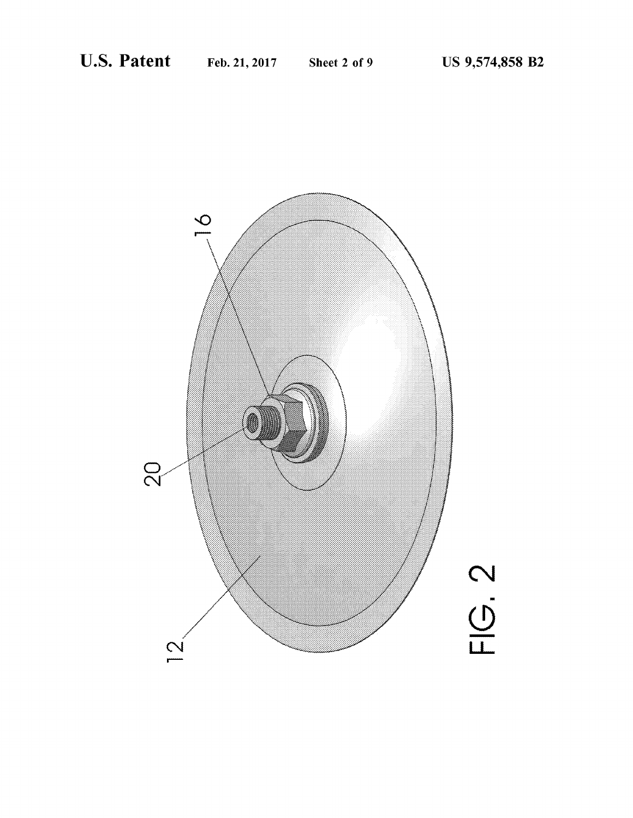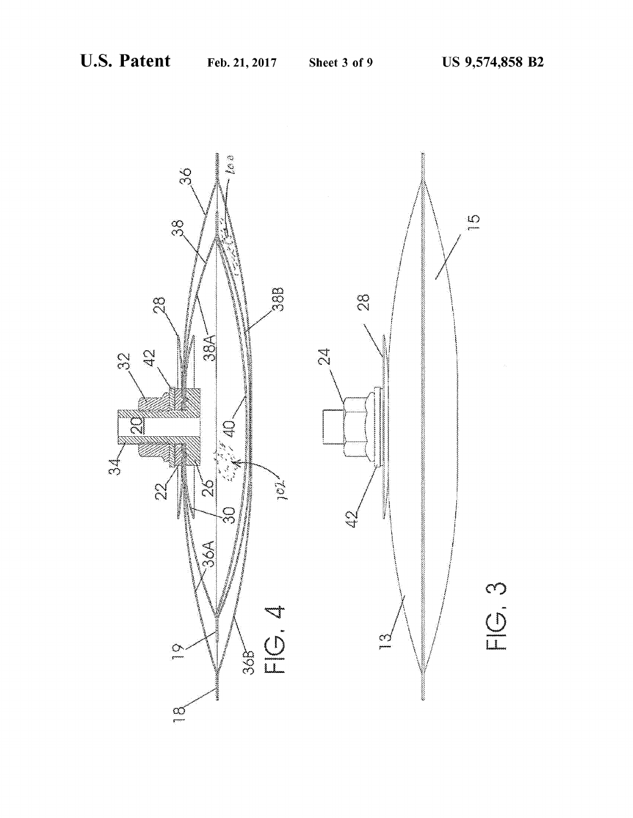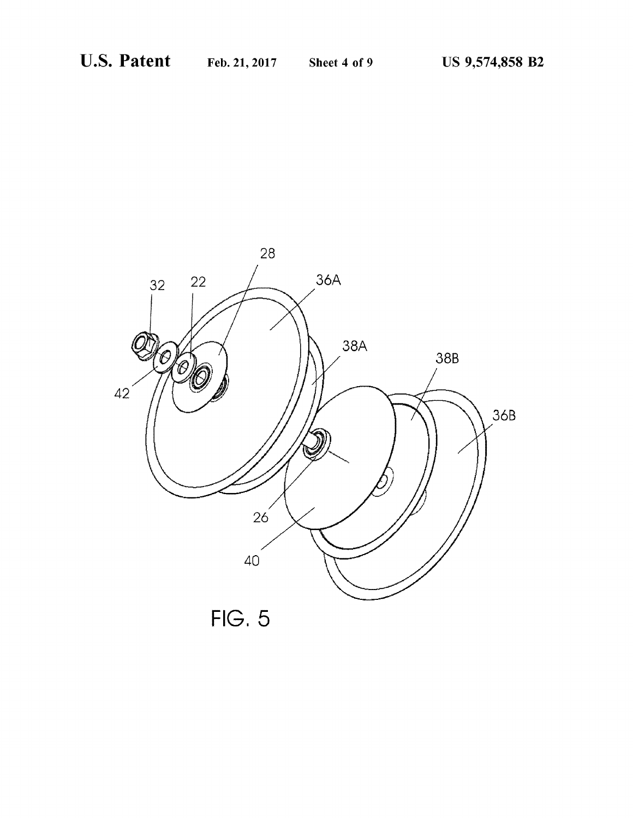

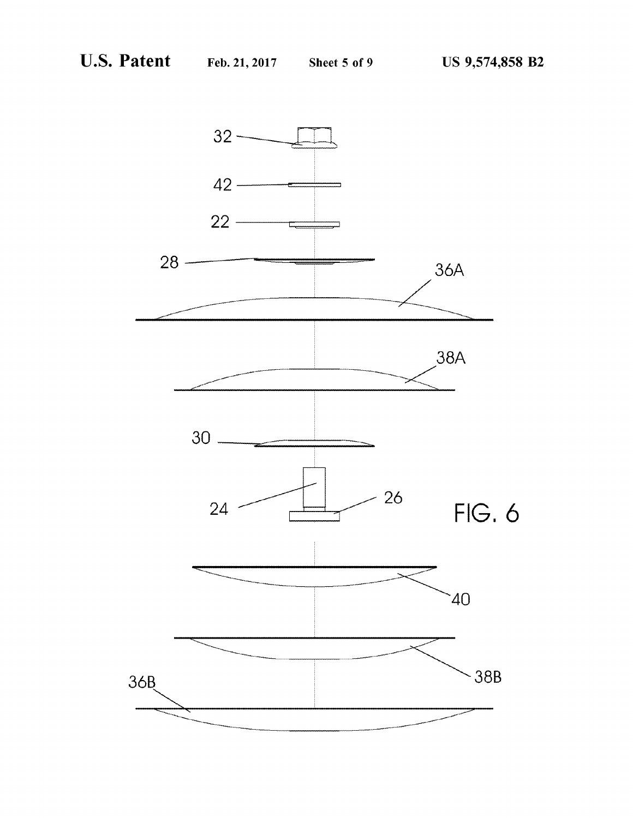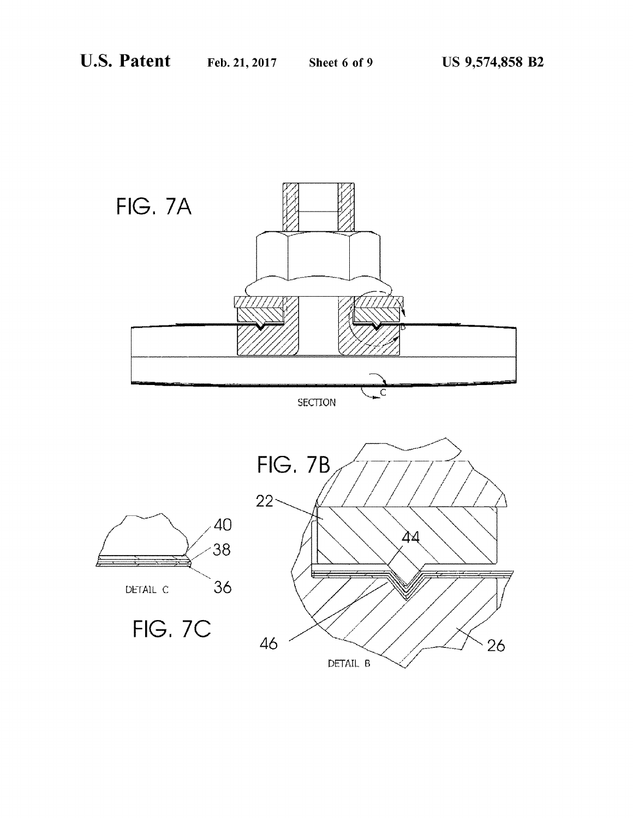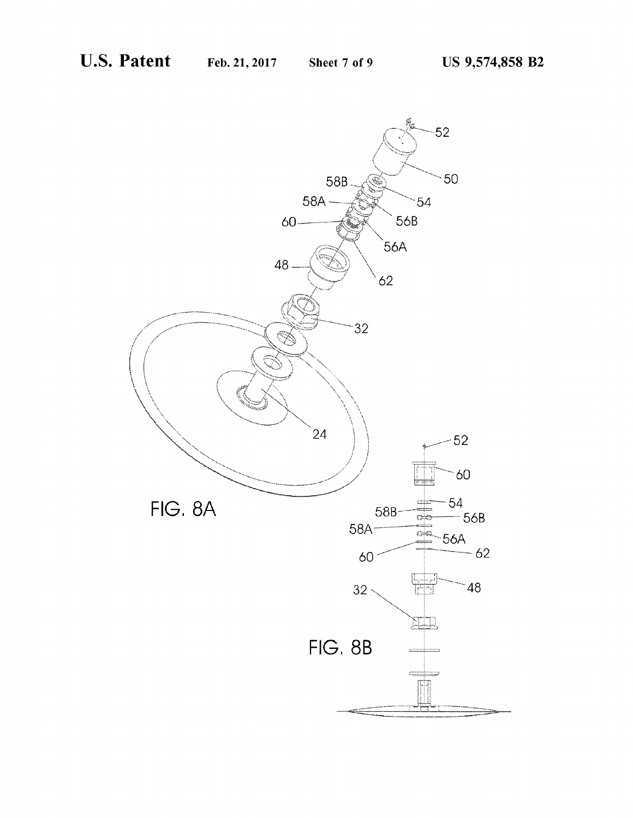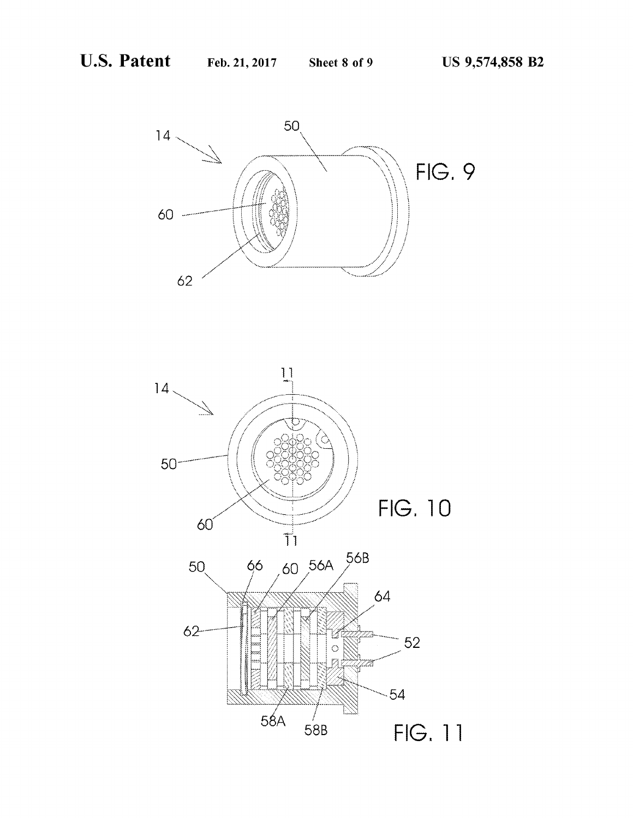

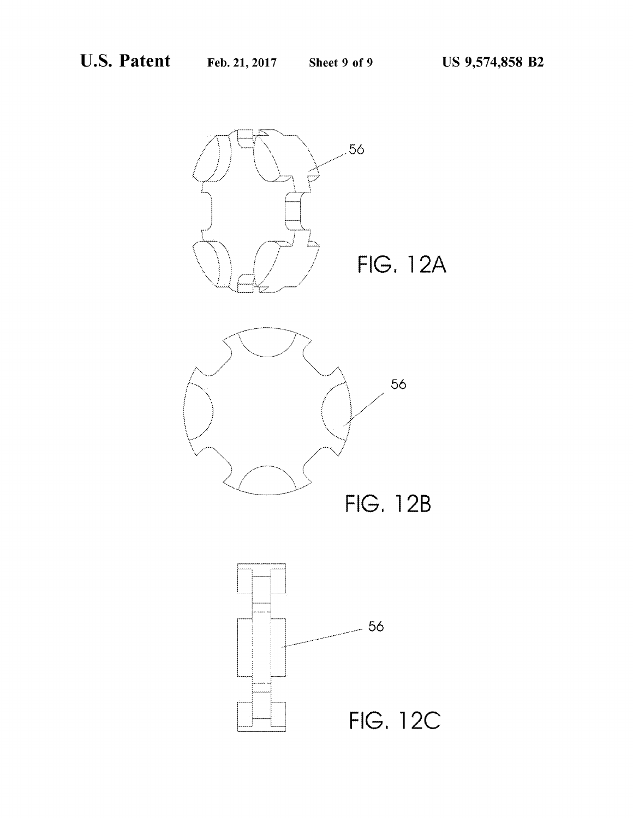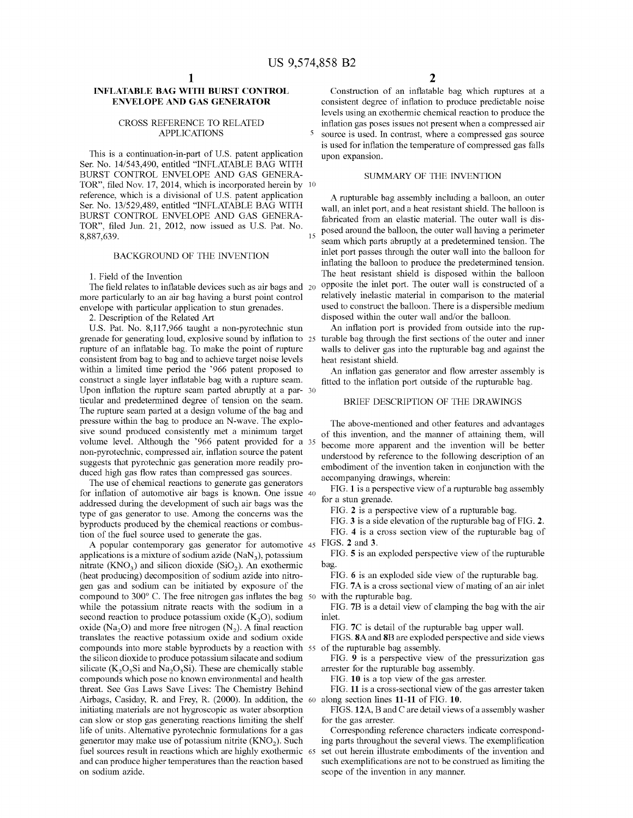5

15

### NFLATABLE BAG WITH BURST CONTROL ENVELOPE AND GAS GENERATOR

#### CROSS REFERENCE TO RELATED APPLICATIONS

This is a continuation-in-part of U.S. patent application Ser. No. 14/543,490, entitled "INFLATABLE BAG WITH BURST CONTROL ENVELOPE AND GAS GENERA TOR", filed Nov. 17, 2014, which is incorporated herein by  $10<sup>10</sup>$ reference, which is a divisional of U.S. patent application Ser. No. 13/529,489, entitled "INFLATABLE BAG WITH BURST CONTROL ENVELOPE AND GAS GENERA TOR", filed Jun. 21, 2012, now issued as U.S. Pat. No. 8,887,639.

#### BACKGROUND OF THE INVENTION

#### 1. Field of the Invention

The field relates to inflatable devices such as air bags and 20 more particularly to an air bag having a burst point control envelope with particular application to stun grenades.

2. Description of the Related Art

U.S. Pat. No. 8,117,966 taught a non-pyrotechnic stun grenade for generating loud, explosive sound by inflation to 25 rupture of an inflatable bag. To make the point of rupture consistent from bag to bag and to achieve target noise levels within a limited time period the '966 patent proposed to construct a single layer inflatable bag with a rupture seam. Upon inflation the rupture seam parted abruptly at a par- 30 ticular and predetermined degree of tension on the seam. The rupture seam parted at a design volume of the bag and pressure within the bag to produce an N-wave. The explo sive sound produced consistently met a minimum target volume level. Although the 966 patent provided for a 35 non-pyrotechnic, compressed air, inflation source the patent suggests that pyrotechnic gas generation more readily produced high gas flow rates than compressed gas sources.

The use of chemical reactions to generate gas generators for inflation of automotive air bags is known. One issue 40 addressed during the development of Such air bags was the type of gas generator to use. Among the concerns was the byproducts produced by the chemical reactions or combus tion of the fuel source used to generate the gas.

A popular contemporary gas generator for automotive  $45$  FIGS. 2 and 3. applications is a mixture of sodium azide  $(NaN<sub>3</sub>)$ , potassium nitrate  $(KNO<sub>3</sub>)$  and silicon dioxide  $(SIO<sub>2</sub>)$ . An exothermic (heat producing) decomposition of sodium azide into nitrogen gas and sodium can be initiated by exposure of the compound to 300° C. The free nitrogen gas inflates the bag 50 while the potassium nitrate reacts with the sodium in a second reaction to produce potassium oxide  $(K_2O)$ , sodium oxide (Na<sub>2</sub>O) and more free nitrogen  $(N_2)$ . A final reaction translates the reactive potassium oxide and sodium oxide compounds into more stable byproducts by a reaction with 55 of the rupturable bag assembly. the silicon dioxide to produce potassium silacate and sodium silicate  $(K_2O_3Si$  and  $Na_2O_3Si$ ). These are chemically stable compounds which pose no known environmental and health threat. See Gas Laws Save Lives: The Chemistry Behind Airbags, Casiday, R. and Frey, R. (2000). In addition, the 60 along section lines 11-11 of FIG. 10. initiating materials are not hygroscopic as water absorption can slow or stop gas generating reactions limiting the shelf life of units. Alternative pyrotechnic formulations for a gas generator may make use of potassium nitrite (KNO<sub>2</sub>). Such fuel sources result in reactions which are highly exothermic 65 and can produce higher temperatures than the reaction based on sodium azide.

2

Construction of an inflatable bag which ruptures at a consistent degree of inflation to produce predictable noise levels using an exothermic chemical reaction to produce the inflation gas poses issues not present when a compressed air source is used. In contrast, where a compressed gas source is used for inflation the temperature of compressed gas falls upon expansion.

#### SUMMARY OF THE INVENTION

A rupturable bag assembly including a balloon, an outer wall, an inlet port, and a heat resistant shield. The balloon is fabricated from an elastic material. The outer wall is dis posed around the balloon, the outer wall having a perimeter seam which parts abruptly at a predetermined tension. The inlet port passes through the outer wall into the balloon for inflating the balloon to produce the predetermined tension. The heat resistant shield is disposed within the balloon opposite the inlet port. The outer wall is constructed of a relatively inelastic material in comparison to the material used to construct the balloon. There is a dispersible medium disposed within the outer wall and/or the balloon.

An inflation port is provided from outside into the rup turable bag through the first sections of the outer and inner walls to deliver gas into the rupturable bag and against the heat resistant shield.

An inflation gas generator and flow arrester assembly is fitted to the inflation port outside of the rupturable bag.

### BRIEF DESCRIPTION OF THE DRAWINGS

The above-mentioned and other features and advantages of this invention, and the manner of attaining them, will become more apparent and the invention will be better understood by reference to the following description of an embodiment of the invention taken in conjunction with the accompanying drawings, wherein:

FIG. 1 is a perspective view of a rupturable bag assembly for a stun grenade.

FIG. 2 is a perspective view of a rupturable bag.

FIG. 3 is a side elevation of the rupturable bag of FIG. 2. FIG. 4 is a cross section view of the rupturable bag of

FIG. 5 is an exploded perspective view of the rupturable bag.

FIG. 6 is an exploded side view of the rupturable bag.

FIG. 7A is a cross sectional view of mating of an air inlet with the rupturable bag.

FIG. 7B is a detail view of clamping the bag with the air inlet.

FIG. 7C is detail of the rupturable bag upper wall.

FIGS. 8A and 8B are exploded perspective and side views

FIG. 9 is a perspective view of the pressurization gas arrester for the rupturable bag assembly.

FIG. 10 is a top view of the gas arrester.

FIG. 11 is a cross-sectional view of the gas arrester taken

FIGS. 12A, B and C are detail views of a assembly washer for the gas arrester.<br>Corresponding reference characters indicate correspond-

ing parts throughout the several views. The exemplification set out herein illustrate embodiments of the invention and such exemplifications are not to be construed as limiting the scope of the invention in any manner.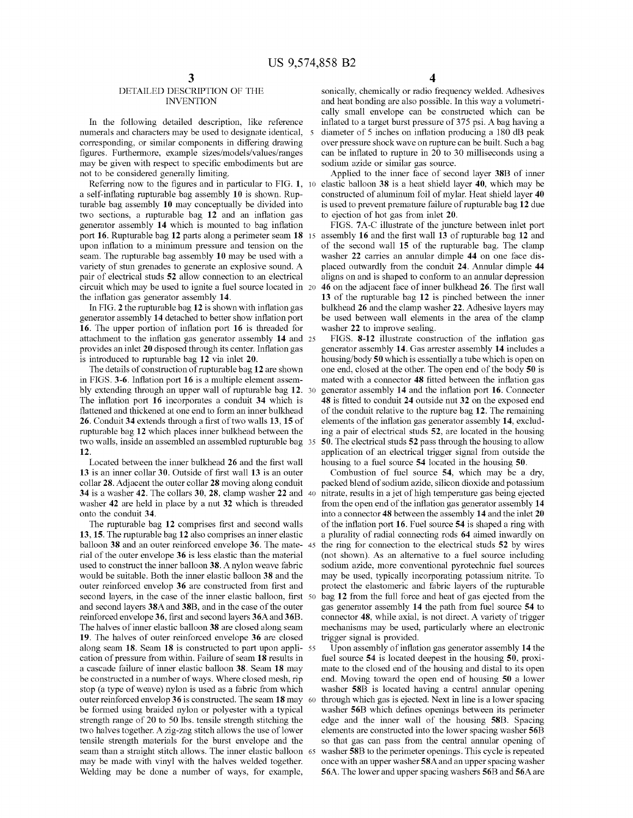### DETAILED DESCRIPTION OF THE **INVENTION**

In the following detailed description, like reference numerals and characters may be used to designate identical, 5 corresponding, or similar components in differing drawing figures. Furthermore, example sizes/models/values/ranges may be given with respect to specific embodiments but are not to be considered generally limiting.

Referring now to the figures and in particular to FIG. 1, 10 a self-inflating rupturable bag assembly 10 is shown. Rupturable bag assembly 10 may conceptually be divided into two sections, a rupturable bag 12 and an inflation gas generator assembly 14 which is mounted to bag inflation port 16. Rupturable bag 12 parts along a perimeter seam 18 upon inflation to a minimum pressure and tension on the seam. The rupturable bag assembly 10 may be used with a variety of stun grenades to generate an explosive sound. A pair of electrical studs 52 allow connection to an electrical circuit which may be used to ignite a fuel source located in 20 the inflation gas generator assembly 14.

In FIG. 2 the rupturable bag 12 is shown with inflation gas generator assembly 14 detached to better show inflation port 16. The upper portion of inflation port 16 is threaded for attachment to the inflation gas generator assembly 14 and 25 provides an inlet 20 disposed through its center. Inflation gas is introduced to rupturable bag 12 via inlet 20.

The details of construction of rupturable bag 12 are shown in FIGS. 3-6. Inflation port 16 is a multiple element assembly extending through an upper wall of rupturable bag 12. 30 The inflation port 16 incorporates a conduit 34 which is flattened and thickened at one end to form an inner bulkhead 26. Conduit 34 extends through a first of two walls 13, 15 of rupturable bag 12 which places inner bulkhead between the two walls, inside an assembled an assembled rupturable bag 35 12.

Located between the inner bulkhead 26 and the first wall 13 is an inner collar 30. Outside of first wall 13 is an outer collar 28. Adjacent the outer collar 28 moving along conduit **34** is a washer **42**. The collars **30**, **28**, clamp washer **22** and 40 washer 42 are held in place by a nut 32 which is threaded onto the conduit 34.

The rupturable bag 12 comprises first and second walls 13, 15. The rupturable bag 12 also comprises an inner elastic balloon 38 and an outer reinforced envelope 36. The mate-45 rial of the outer envelope 36 is less elastic than the material used to construct the inner balloon 38. A nylon weave fabric would be suitable. Both the inner elastic balloon 38 and the outer reinforced envelop 36 are constructed from first and second layers, in the case of the inner elastic balloon, first 50 and second layers 38A and 38B, and in the case of the outer reinforced envelope 36, first and second layers 36A and 36B. The halves of inner elastic balloon 38 are closed along seam 19. The halves of outer reinforced envelope 36 are closed along seam 18. Seam 18 is constructed to part upon appli- 55 cation of pressure from within. Failure of seam 18 results in a cascade failure of inner elastic balloon 38. Seam 18 may be constructed in a number of ways. Where closed mesh, rip stop (a type of weave) nylon is used as a fabric from which outer reinforced envelop 36 is constructed. The seam 18 may 60 be formed using braided nylon or polyester with a typical strength range of 20 to 50 lbs. tensile strength stitching the two halves together. A zig-zag stitch allows the use of lower tensile strength materials for the burst envelope and the seam than a straight stitch allows. The inner elastic balloon 65 may be made with vinyl with the halves welded together. Welding may be done a number of ways, for example,

sonically, chemically or radio frequency welded. Adhesives and heat bonding are also possible. In this way a volumetrically small envelope can be constructed which can be inflated to a target burst pressure of 375 psi. A bag having a diameter of 5 inches on inflation producing a 180 dB peak over pressure shock wave on rupture can be built. Such a bag can be inflated to rupture in 20 to 30 milliseconds using a sodium azide or similar gas source.

Applied to the inner face of second layer 38B of inner elastic balloon 38 is a heat shield layer 40, which may be constructed of aluminum foil of mylar. Heat shield layer 40 is used to prevent premature failure of rupturable bag 12 due to ejection of hot gas from inlet 20.

FIGS. 7A-C illustrate of the juncture between inlet port assembly 16 and the first wall 13 of rupturable bag 12 and of the second wall 15 of the rupturable bag. The clamp washer 22 carries an annular dimple 44 on one face displaced outwardly from the conduit 24. Annular dimple 44 aligns on and is shaped to conform to an annular depression 46 on the adjacent face of inner bulkhead 26. The first wall 13 of the rupturable bag 12 is pinched between the inner bulkhead 26 and the clamp washer 22. Adhesive layers may be used between wall elements in the area of the clamp washer 22 to improve sealing.

FIGS. 8-12 illustrate construction of the inflation gas generator assembly 14. Gas arrester assembly 14 includes a housing/body 50 which is essentially a tube which is open on one end, closed at the other. The open end of the body 50 is mated with a connector 48 fitted between the inflation gas generator assembly 14 and the inflation port 16. Connecter 48 is fitted to conduit 24 outside nut 32 on the exposed end of the conduit relative to the rupture bag 12. The remaining elements of the inflation gas generator assembly 14, excluding a pair of electrical studs 52, are located in the housing 50. The electrical studs 52 pass through the housing to allow application of an electrical trigger signal from outside the housing to a fuel source 54 located in the housing 50.

Combustion of fuel source 54, which may be a dry, packed blend of sodium azide, silicon dioxide and potassium nitrate, results in a jet of high temperature gas being ejected from the open end of the inflation gas generator assembly 14 into a connector 48 between the assembly 14 and the inlet 20 of the inflation port 16. Fuel source 54 is shaped a ring with a plurality of radial connecting rods 64 aimed inwardly on the ring for connection to the electrical studs 52 by wires (not shown). As an alternative to a fuel source including sodium azide, more conventional pyrotechnic fuel sources may be used, typically incorporating potassium nitrite. To protect the elastomeric and fabric layers of the rupturable bag 12 from the full force and heat of gas ejected from the gas generator assembly 14 the path from fuel source 54 to connector 48, while axial, is not direct. A variety of trigger mechanisms may be used, particularly where an electronic trigger signal is provided.

Upon assembly of inflation gas generator assembly 14 the fuel source 54 is located deepest in the housing 50, proximate to the closed end of the housing and distal to its open end. Moving toward the open end of housing 50 a lower washer 58B is located having a central annular opening through which gas is ejected. Next in line is a lower spacing washer 56B which defines openings between its perimeter edge and the inner wall of the housing 58B. Spacing elements are constructed into the lower spacing washer 56B so that gas can pass from the central annular opening of washer 58B to the perimeter openings. This cycle is repeated once with an upper washer 58A and an upper spacing washer 56A. The lower and upper spacing washers 56B and 56A are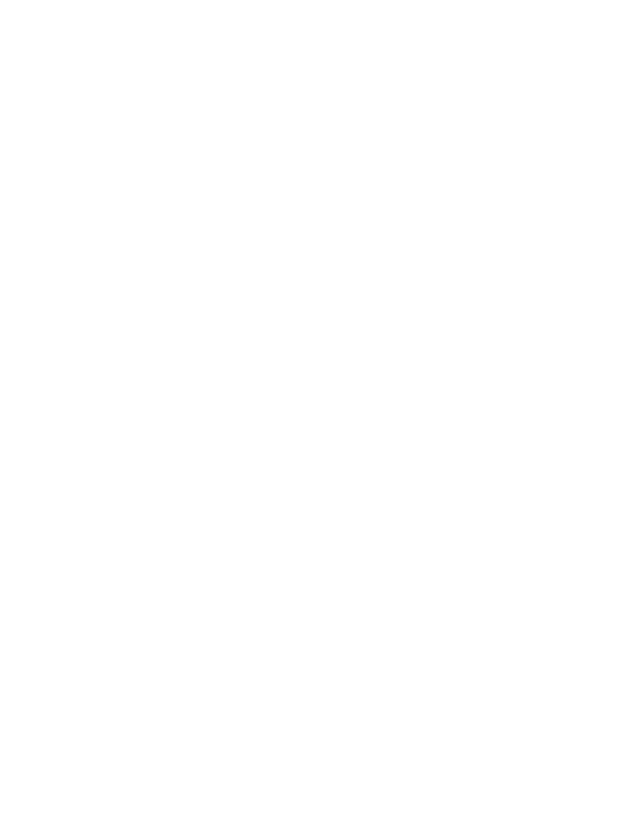illustrated in detail in FIGS. 12A-C generally at reference numeral 56. Washers 58A, 58B, 56A and 56B, along with top cap 60, provide a flame arresting function the fuel source 54 and the inlet port 20. A more extensive flame arresting system incorporating additional washers of alternating types 5 may be employed for pyrotechnic devices as the target temperature range in the rupture envelope is below 100 to 125 degrees Celsius.

Gas is ejected from housing 50 through a perforated top cap 60. Top cap 60 is retained in housing 50 using a spring  $10$ spacing ring 62 which fits in an annular slot 66 in the inner wall of the housing proximate to the open end of the housing.

The rupturable bag assembly 10 includes balloon 38 fabricated from an elastic material. There is an outer wall of 15 envelope 36 that is disposed around balloon 38, the outer wall 36 having a perimeter seam 18 which parts abruptly at a predetermined tension. The inlet port 20 through the outer wall 36 into the balloon 38 inflates the balloon 38 to produce the predetermined tension. The heat resistant shield 40 is 20 disposed within the balloon 38 opposite the inlet port 20. The outer wall 36 is constructed of a relatively inelastic material in comparison to the material used to construct the balloon 38. As seen in FIG. 4 a dispersible medium 100 is disposed within the outer wall 36 and between the outer wall 25 36 and the balloon 38. The invention also contemplates that a dispersible medium 102 is located inside of balloon 38. The dispersible medium 100 and/or 102 may be singularly present in either location or in both. Also dispersible medium 100 and 102 may be the same or different mediums. 30

Dispersible mediums 100 and 102 may interact to cause a secondary reaction after the rupture of balloon 38 and envelope 36. For example, the mediums 100 and 102 may chemically react with each other to result in another event, or to cause the two mediums 100 and 102 to combine to have 35 an effect on the surrounding area or organisms proximate to rupturable bag assembly 10.

The mediums 100 and 102 can be a powder or an aerosol liquid, or some other medium. Once rupturable bag assembly 10 ruptures an acoustic shockwave is produced, as the 40 perimeter seam 18 parts abruptly, the acoustic shockwave being primarily responsible for a dispersement of the dispersible medium 100 and/or 102. Once the dispersible medium 100 and/or 102 has dispersed or is dispersing it may provide a visual effect, an olfactory effect, a secondary 45 acoustic effect, and/or a biological effect to an organism. For example, the medium  $100$  and/or  $102$  can include a paint that is distributed in the vicinity thereby being a visual effect. The medium 100 and/or 102 can cause a smell to be distributed in the area. Additionally, a secondary acoustic 50 effect may take place if the medium 100 and/or 102 is ignited, or self ignites causing an explosion, which can also include visual and olfactory results as well. The dispersal of medium 100 and/or 102 can also result in a reaction of organisms in the area, such as an irritant that will cause the 55 organisms to leave the area. Also, the medium 100 and/or 102 may be a cleansing agent to attack chemicals or germs in the area.

The triggerable chemical gas source can be configured to cause a dispersement of the dispersible medium 100 and/or 60 102 within the rupturable bag assembly before the balloon 38 ruptures.

While this invention has been described with respect to at least one embodiment, the present invention can be further modified within the spirit and scope of this disclosure. This 65 application is therefore intended to cover any variations, uses, or adaptations of the invention using its general

principles. Further, this application is intended to cover such departures from the present disclosure as come within known or customary practice in the art to which this invention pertains and which fall within the limits of the appended claims.

What is claimed is:

1. A rupturable bag assembly comprising:

a balloon fabricated from an elastic material;

- an outer wall disposed around the balloon, the outer wall having a perimeter seam which parts abruptly at a predetermined tension;
- an inlet port through the outer wall into the balloon for inflating the balloon to produce the predetermined tension;
- a heat resistant shield disposed within the balloon opposite the inlet port;
- the outer wall being constructed of a relatively inelastic material in comparison to the material used to construct the balloon; and
- a dispersible medium disposed within at least one of the outer wall and the balloon.

2. The rupturable bag assembly of claim 1, wherein the dispersible medium is a powder.

3. The rupturable bag assembly of claim 1, wherein the dispersible medium is an aerosol liquid.

4. The rupturable bag assembly of claim 1, wherein an acoustic shockwave is produced when the perimeter seam parts abruptly, the acoustic shockwave being primarily responsible for a dispersement of the dispersible medium.

5. The rupturable bag assembly of claim 4, wherein the dispersible medium once dispersed provides at least one of a visual effect, an olfactory effect, a secondary acoustic effect, and a biological effect to an organism.

6. The rupturable bag assembly of claim 1, further comprising an inflation assembly including a triggerable chemical gas source coupled to the inlet port.

7. The rupturable bag assembly of claim 6, further comprising a configurable flame arrester located between the triggerable chemical gas source and the inlet port.

8. The rupturable bag assembly of claim 6, wherein the triggerable chemical gas source is a pyrotechnic.

9. The rupturable bag assembly of claim 6, wherein the triggerable chemical gas source includes sodium azide, potassium nitrate and silicon dioxide.

10. The rupturable bag assembly of claim 6, wherein the triggerable chemical gas source is configured to cause a dispersement of the dispersible medium within the rupturable bag assembly before the balloon ruptures.

11. A grenade assembly, comprising:

a gas source; and

- a rupturable bag assembly coupled to the gas source, the rupturable bag assembly including:
	- a balloon fabricated from an elastic material;
	- an outer wall disposed around the balloon, the outer wall having a perimeter seam which parts abruptly at a predetermined tension;
	- an inlet port through the outer wall into the balloon for inflating the balloon to produce the predetermined tension:
	- a heat resistant shield disposed within the balloon opposite the inlet port;
	- the outer wall being constructed of a relatively inelastic material in comparison to the material used to construct the balloon; and
	- a dispersible medium disposed within at least one of the outer wall and the balloon.